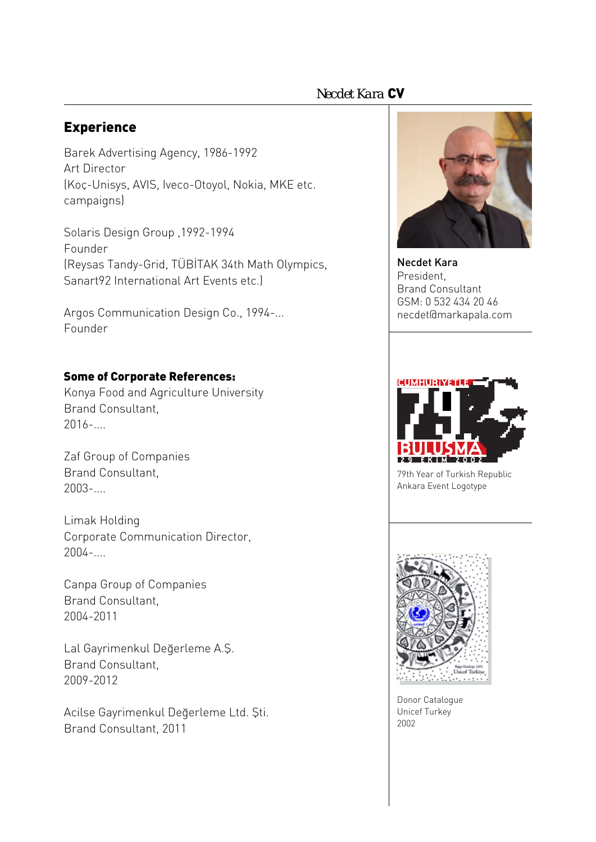# *Necdet Kara* CV

# Experience

Barek Advertising Agency, 1986-1992 Art Director (Koç-Unisys, AVIS, Iveco-Otoyol, Nokia, MKE etc. campaigns)

Solaris Design Group ,1992-1994 Founder (Reysas Tandy-Grid, TÜBİTAK 34th Math Olympics, Sanart92 International Art Events etc.)

Argos Communication Design Co., 1994-... Founder

### Some of Corporate References:

Konya Food and Agriculture University Brand Consultant,  $2016-$ 

Zaf Group of Companies Brand Consultant, 2003-....

Limak Holding Corporate Communication Director, 2004-....

Canpa Group of Companies Brand Consultant, 2004-2011

Lal Gayrimenkul Değerleme A.Ş. Brand Consultant, 2009-2012

Acilse Gayrimenkul Değerleme Ltd. Şti. Brand Consultant, 2011



Necdet Kara President, Brand Consultant GSM: 0 532 434 20 46 necdet@markapala.com



79th Year of Turkish Republic Ankara Event Logotype



Donor Catalogue Unicef Turkey 2002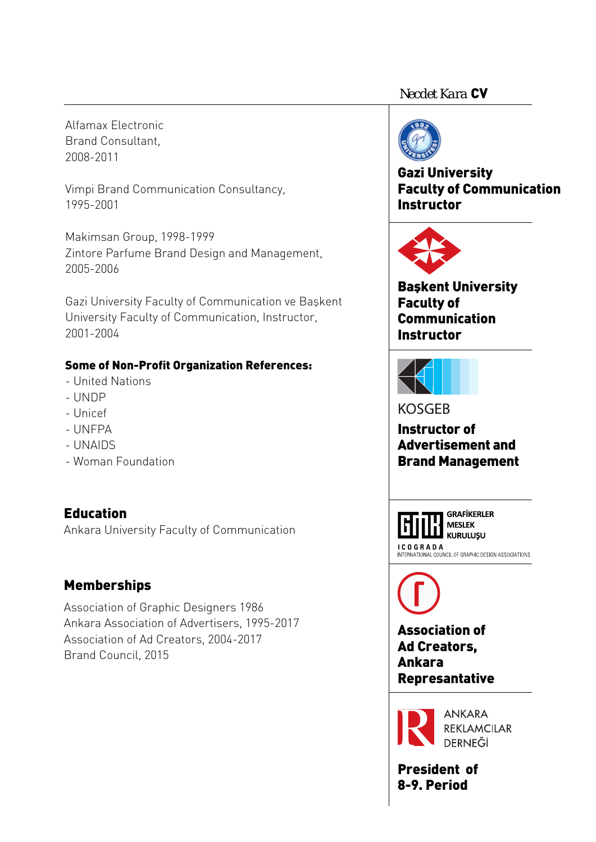### *Necdet Kara* CV

Alfamax Electronic Brand Consultant, 2008-2011

Vimpi Brand Communication Consultancy, 1995-2001

Makimsan Group, 1998-1999 Zintore Parfume Brand Design and Management, 2005-2006

Gazi University Faculty of Communication ve Başkent University Faculty of Communication, Instructor, 2001-2004

### Some of Non-Profit Organization References:

- United Nations
- UNDP
- Unicef
- UNFPA
- UNAIDS
- Woman Foundation

# **Education**

Ankara University Faculty of Communication

# Memberships

Association of Graphic Designers 1986 Ankara Association of Advertisers, 1995-2017 Association of Ad Creators, 2004-2017 Brand Council, 2015



# Gazi University Faculty of Communication **Instructor**



Başkent University Faculty of Communication Instructor



**KOSGEB** 

Instructor of Advertisement and Brand Management



**KURULUSU** 

INTERNATIONAL COUNCIL OF GRAPHIC DESIGN ASSOCIATIONS



Association of Ad Creators, Ankara Represantative



**ANKARA REKLAMCILAR DERNEĞİ** 

President of 8-9. Period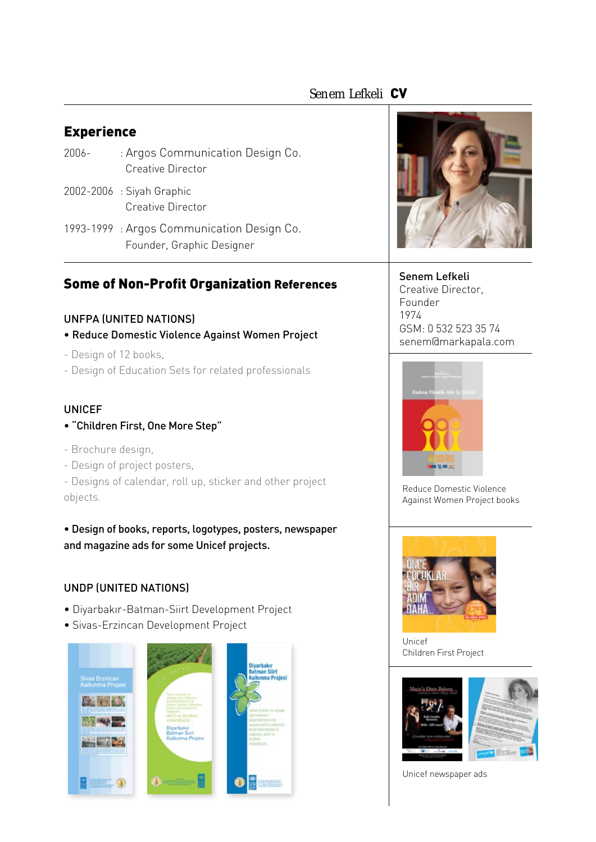## *Senem Lefkeli* CV

### Experience

- 2006- : Argos Communication Design Co. Creative Director
- 2002-2006 : Siyah Graphic Creative Director
- 1993-1999 : Argos Communication Design Co. Founder, Graphic Designer

# Some of Non-Profit Organization References

#### UNFPA (UNITED NATIONS)

- Reduce Domestic Violence Against Women Project
- Design of 12 books,
- Design of Education Sets for related professionals

#### UNICEF

- "Children First, One More Step"
- Brochure design,
- Design of project posters,
- Designs of calendar, roll up, sticker and other project objects.

• Design of books, reports, logotypes, posters, newspaper and magazine ads for some Unicef projects.

#### UNDP (UNITED NATIONS)

- Diyarbakır-Batman-Siirt Development Project
- Sivas-Erzincan Development Project







#### Senem Lefkeli

Creative Director, Founder 1974 GSM: 0 532 523 35 74 senem@markapala.com



Reduce Domestic Violence Against Women Project books



Unicef Children First Project



Unicef newspaper ads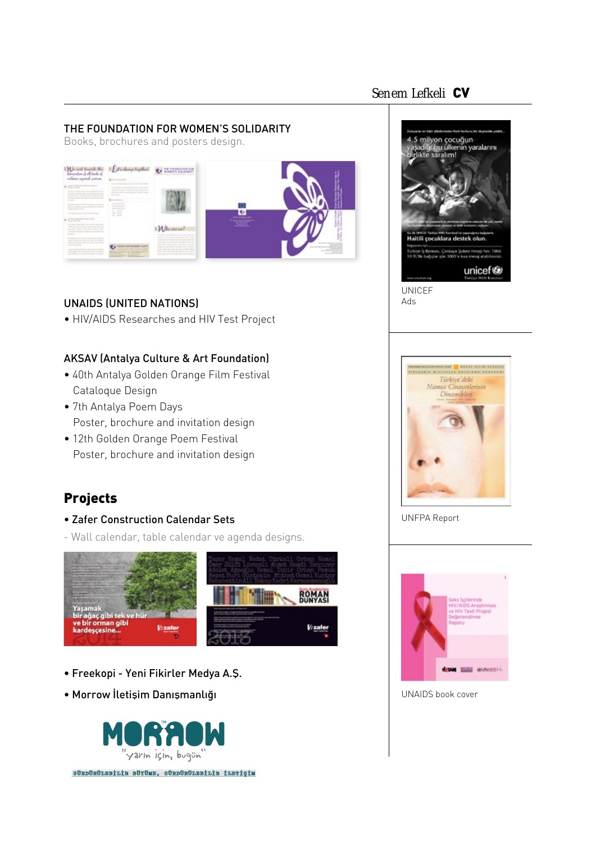# *Senem Lefkeli* CV

#### THE FOUNDATION FOR WOMEN'S SOLIDARITY

Books, brochures and posters design.



### UNAIDS (UNITED NATIONS)

• HIV/AIDS Researches and HIV Test Project

### AKSAV (Antalya Culture & Art Foundation)

- 40th Antalya Golden Orange Film Festival Cataloque Design
- 7th Antalya Poem Days Poster, brochure and invitation design
- 12th Golden Orange Poem Festival Poster, brochure and invitation design

# Projects

- Zafer Construction Calendar Sets
- Wall calendar, table calendar ve agenda designs.



- Freekopi Yeni Fikirler Medya A.Ş.
- Morrow İletişim Danışmanlığı







UNFPA Report



UNAIDS book cover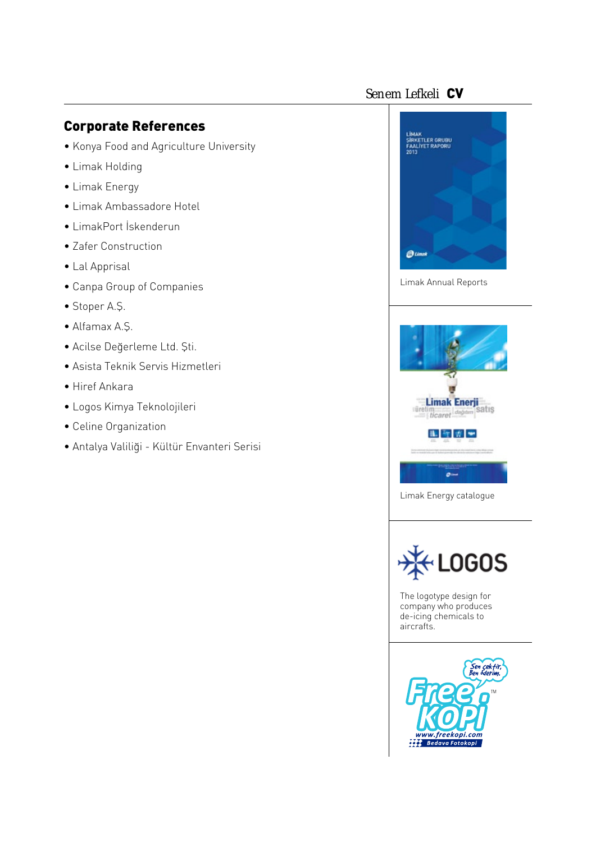# *Senem Lefkeli* CV

# Corporate References

- Konya Food and Agriculture University
- Limak Holding
- Limak Energy
- Limak Ambassadore Hotel
- LimakPort İskenderun
- Zafer Construction
- Lal Apprisal
- Canpa Group of Companies
- Stoper A.Ş.
- Alfamax A.Ş.
- Acilse Değerleme Ltd. Şti.
- Asista Teknik Servis Hizmetleri
- Hiref Ankara
- Logos Kimya Teknolojileri
- Celine Organization
- Antalya Valiliği Kültür Envanteri Serisi



Limak Annual Reports



Limak Energy catalogue



The logotype design for company who produces de-icing chemicals to aircrafts.